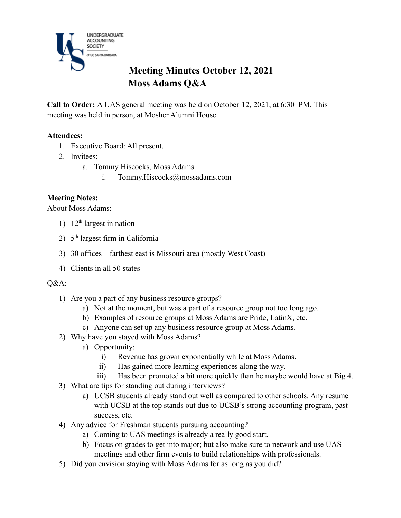

# **Meeting Minutes October 12, 2021 Moss Adams Q&A**

**Call to Order:** A UAS general meeting was held on October 12, 2021, at 6:30 PM. This meeting was held in person, at Mosher Alumni House.

### **Attendees:**

- 1. Executive Board: All present.
- 2. Invitees:
	- a. Tommy Hiscocks, Moss Adams
		- i. Tommy.Hiscocks@mossadams.com

## **Meeting Notes:**

About Moss Adams:

- 1)  $12<sup>th</sup>$  largest in nation
- 2) 5<sup>th</sup> largest firm in California
- 3) 30 offices farthest east is Missouri area (mostly West Coast)
- 4) Clients in all 50 states

#### Q&A:

- 1) Are you a part of any business resource groups?
	- a) Not at the moment, but was a part of a resource group not too long ago.
	- b) Examples of resource groups at Moss Adams are Pride, LatinX, etc.
	- c) Anyone can set up any business resource group at Moss Adams.
- 2) Why have you stayed with Moss Adams?
	- a) Opportunity:
		- i) Revenue has grown exponentially while at Moss Adams.
		- ii) Has gained more learning experiences along the way.
	- iii) Has been promoted a bit more quickly than he maybe would have at Big 4.
- 3) What are tips for standing out during interviews?
	- a) UCSB students already stand out well as compared to other schools. Any resume with UCSB at the top stands out due to UCSB's strong accounting program, past success, etc.
- 4) Any advice for Freshman students pursuing accounting?
	- a) Coming to UAS meetings is already a really good start.
	- b) Focus on grades to get into major; but also make sure to network and use UAS meetings and other firm events to build relationships with professionals.
- 5) Did you envision staying with Moss Adams for as long as you did?